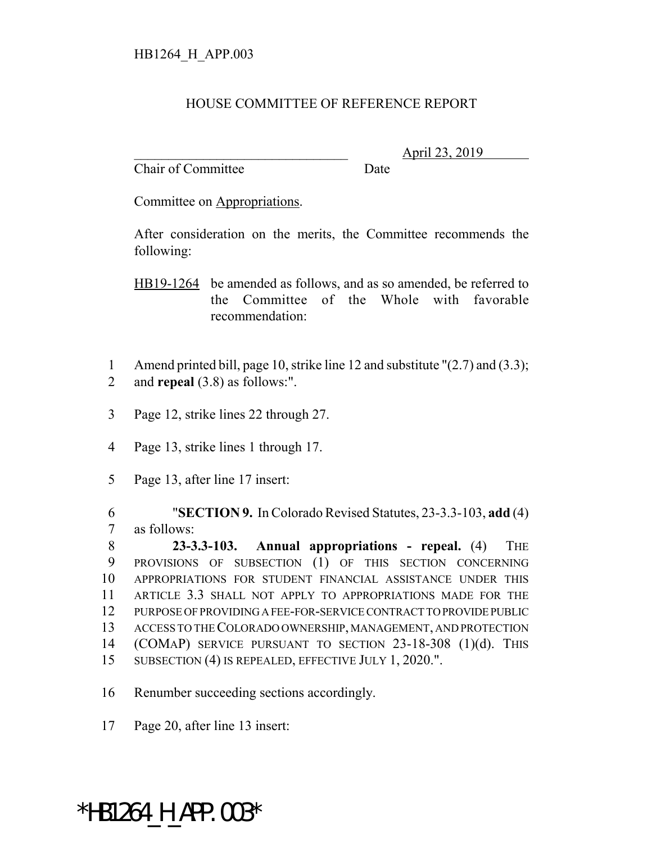## HOUSE COMMITTEE OF REFERENCE REPORT

Chair of Committee Date

\_\_\_\_\_\_\_\_\_\_\_\_\_\_\_\_\_\_\_\_\_\_\_\_\_\_\_\_\_\_\_ April 23, 2019

Committee on Appropriations.

After consideration on the merits, the Committee recommends the following:

HB19-1264 be amended as follows, and as so amended, be referred to the Committee of the Whole with favorable recommendation:

- 1 Amend printed bill, page 10, strike line 12 and substitute "(2.7) and (3.3); 2 and **repeal** (3.8) as follows:".
- 3 Page 12, strike lines 22 through 27.
- 4 Page 13, strike lines 1 through 17.
- 5 Page 13, after line 17 insert:

6 "**SECTION 9.** In Colorado Revised Statutes, 23-3.3-103, **add** (4) 7 as follows:

 **23-3.3-103. Annual appropriations - repeal.** (4) THE PROVISIONS OF SUBSECTION (1) OF THIS SECTION CONCERNING APPROPRIATIONS FOR STUDENT FINANCIAL ASSISTANCE UNDER THIS ARTICLE 3.3 SHALL NOT APPLY TO APPROPRIATIONS MADE FOR THE PURPOSE OF PROVIDING A FEE-FOR-SERVICE CONTRACT TO PROVIDE PUBLIC ACCESS TO THE COLORADO OWNERSHIP, MANAGEMENT, AND PROTECTION (COMAP) SERVICE PURSUANT TO SECTION 23-18-308 (1)(d). THIS 15 SUBSECTION (4) IS REPEALED, EFFECTIVE JULY 1, 2020.".

16 Renumber succeeding sections accordingly.

17 Page 20, after line 13 insert:

## \*HB1264 H APP.003\*